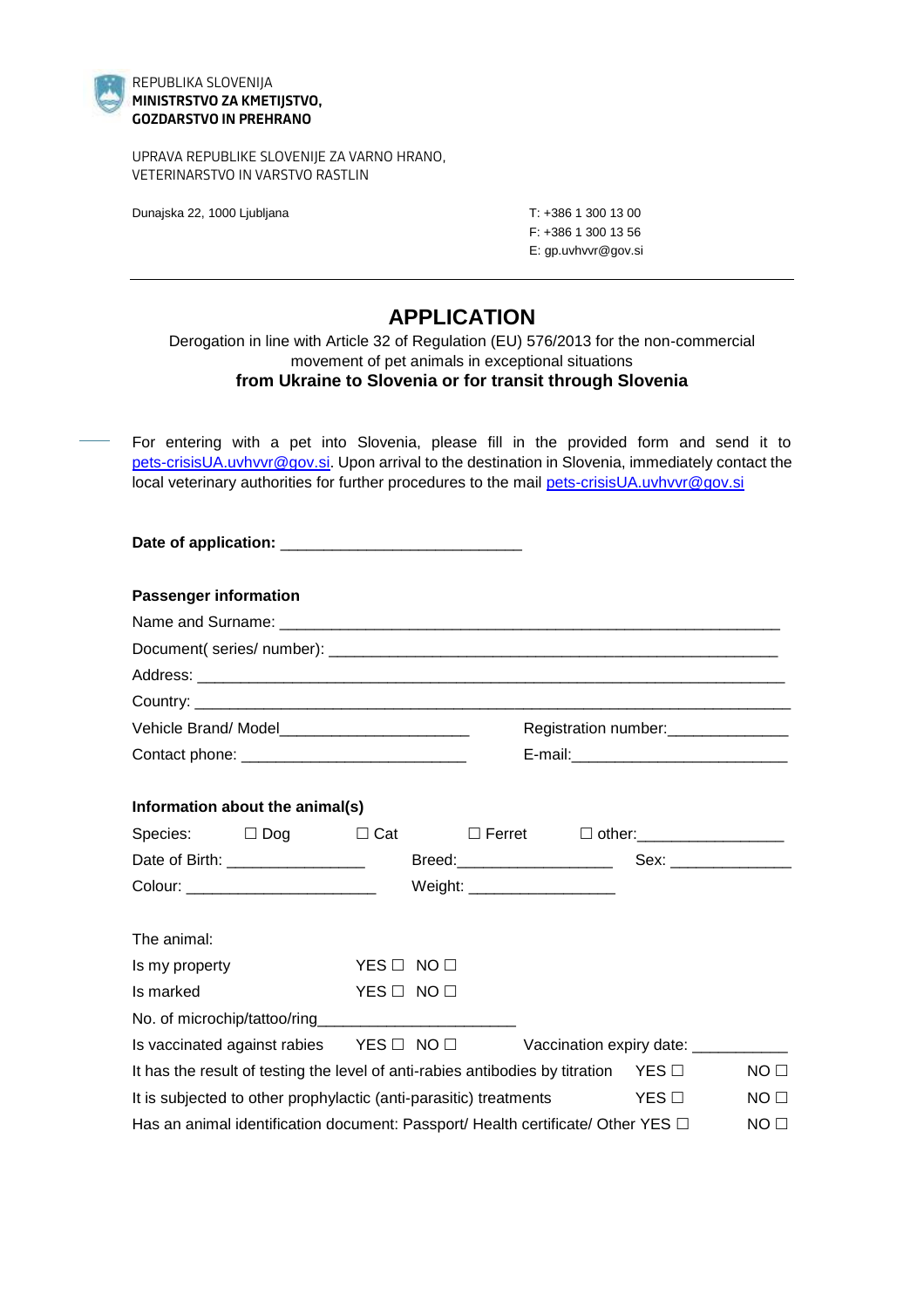

## REPUBLIKA SLOVENIJA **MINISTRSTVO ZA KMETIJSTVO, GOZDARSTVO IN PREHRANO**

UPRAVA REPUBLIKE SLOVENIJE ZA VARNO HRANO, VETERINARSTVO IN VARSTVO RASTLIN

Dunajska 22, 1000 Ljubljana T: +386 1 300 13 00

F: +386 1 300 13 56 E: gp.uvhvvr@gov.si

## **APPLICATION**

Derogation in line with Article 32 of Regulation (EU) 576/2013 for the non-commercial movement of pet animals in exceptional situations **from Ukraine to Slovenia or for transit through Slovenia**

For entering with a pet into Slovenia, please fill in the provided form and send it to [pets-crisisUA.uvhvvr@gov.si.](mailto:pets-crisisUA.uvhvvr@gov.si) Upon arrival to the destination in Slovenia, immediately contact the local veterinary authorities for further procedures to the mail [pets-crisisUA.uvhvvr@gov.si](mailto:pets-crisisUA.uvhvvr@gov.si)

| <b>Passenger information</b>                                                             |                    |  |                                                            |                 |
|------------------------------------------------------------------------------------------|--------------------|--|------------------------------------------------------------|-----------------|
|                                                                                          |                    |  |                                                            |                 |
|                                                                                          |                    |  |                                                            |                 |
|                                                                                          |                    |  |                                                            |                 |
|                                                                                          |                    |  |                                                            |                 |
|                                                                                          |                    |  | Registration number:<br><u>[</u> [11] Registration number: |                 |
| Contact phone: _________________________________                                         |                    |  |                                                            |                 |
| Information about the animal(s)                                                          |                    |  |                                                            |                 |
| Species: $\Box$ Dog $\Box$ Cat                                                           |                    |  | □ Ferret □ other: ___________________                      |                 |
|                                                                                          |                    |  |                                                            |                 |
|                                                                                          |                    |  |                                                            |                 |
| The animal:                                                                              |                    |  |                                                            |                 |
| Is my property                                                                           | $YES \Box NO \Box$ |  |                                                            |                 |
| Is marked                                                                                | YES O NO O         |  |                                                            |                 |
|                                                                                          |                    |  |                                                            |                 |
| Is vaccinated against rabies YES □ NO □ Vaccination expiry date: __________              |                    |  |                                                            |                 |
| It has the result of testing the level of anti-rabies antibodies by titration YES $\Box$ |                    |  |                                                            | NO <sub>1</sub> |
| It is subjected to other prophylactic (anti-parasitic) treatments<br><b>ES</b> □         |                    |  |                                                            | NO <sub>1</sub> |
| Has an animal identification document: Passport/ Health certificate/ Other YES $\Box$    |                    |  |                                                            | NO <sub>1</sub> |